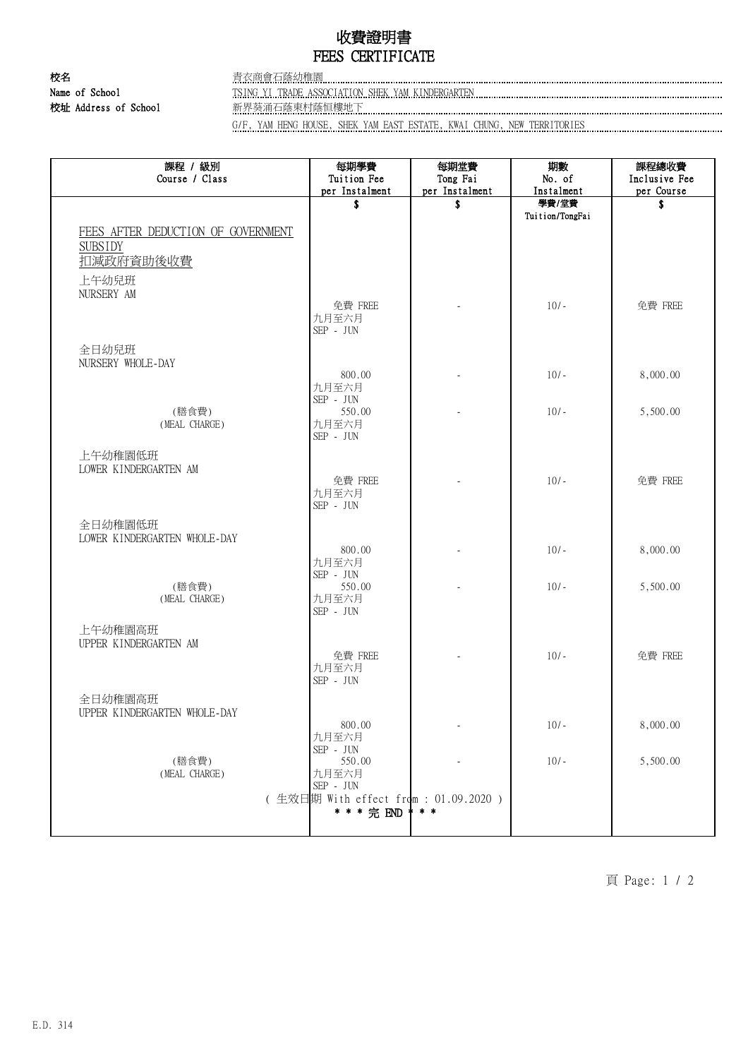## 收費證明書 FEES CERTIFICATE

校名 青衣商會石蔭幼稚園

## Name of School TSING YI TRADE ASSOCIATION SHEK YAM KINDERGARTEN 校址 Address of School 新界葵涌石蔭東村蔭恒樓地下

G/F, YAM HENG HOUSE, SHEK YAM EAST ESTATE, KWAI CHUNG, NEW TERRITORIES

| 課程 / 級別<br>Course / Class          | 每期學費<br>Tuition Fee                   | 每期堂費<br>Tong Fai | 期數<br>No. of             | 課程總收費<br>Inclusive Fee |
|------------------------------------|---------------------------------------|------------------|--------------------------|------------------------|
|                                    | per Instalment                        | per Instalment   | Instalment               | per Course             |
|                                    | \$                                    | \$               | 學費/堂費<br>Tuition/TongFai | \$                     |
| FEES AFTER DEDUCTION OF GOVERNMENT |                                       |                  |                          |                        |
| <b>SUBSIDY</b>                     |                                       |                  |                          |                        |
| 扣减政府資助後收費                          |                                       |                  |                          |                        |
| 上午幼兒班                              |                                       |                  |                          |                        |
| NURSERY AM                         |                                       |                  |                          |                        |
|                                    | 免費 FREE                               |                  | $10/-$                   | 免費 FREE                |
|                                    | 九月至六月<br>SEP - JUN                    |                  |                          |                        |
|                                    |                                       |                  |                          |                        |
| 全日幼兒班<br>NURSERY WHOLE-DAY         |                                       |                  |                          |                        |
|                                    | 800.00                                |                  | $10/-$                   | 8,000.00               |
|                                    | 九月至六月                                 |                  |                          |                        |
| (膳食費)                              | SEP - JUN<br>550.00                   |                  | $10/-$                   | 5,500.00               |
| (MEAL CHARGE)                      | 九月至六月                                 |                  |                          |                        |
|                                    | SEP - JUN                             |                  |                          |                        |
| 上午幼稚園低班                            |                                       |                  |                          |                        |
| LOWER KINDERGARTEN AM              | 免費 FREE                               |                  | $10/-$                   | 免費 FREE                |
|                                    | 九月至六月                                 |                  |                          |                        |
|                                    | SEP - JUN                             |                  |                          |                        |
| 全日幼稚園低班                            |                                       |                  |                          |                        |
| LOWER KINDERGARTEN WHOLE-DAY       |                                       |                  |                          |                        |
|                                    | 800.00<br>九月至六月                       |                  | $10/-$                   | 8,000.00               |
|                                    | SEP - JUN                             |                  |                          |                        |
| (膳食費)<br>(MEAL CHARGE)             | 550.00<br>九月至六月                       |                  | $10/-$                   | 5,500.00               |
|                                    | SEP - JUN                             |                  |                          |                        |
| 上午幼稚園高班                            |                                       |                  |                          |                        |
| UPPER KINDERGARTEN AM              |                                       |                  |                          |                        |
|                                    | 免費 FREE                               |                  | $10/-$                   | 免費 FREE                |
|                                    | 九月至六月<br>SEP - JUN                    |                  |                          |                        |
| 全日幼稚園高班                            |                                       |                  |                          |                        |
| UPPER KINDERGARTEN WHOLE-DAY       |                                       |                  |                          |                        |
|                                    | 800.00                                |                  | $10/-$                   | 8,000.00               |
|                                    | 九月至六月<br>SEP - JUN                    |                  |                          |                        |
| (膳食費)                              | 550.00                                |                  | $10/-$                   | 5,500.00               |
| (MEAL CHARGE)                      | 九月至六月<br>SEP - JUN                    |                  |                          |                        |
|                                    | (生效日期 With effect from : 01.09.2020 ) |                  |                          |                        |
|                                    | * * * 完 END                           | $* *$            |                          |                        |
|                                    |                                       |                  |                          |                        |

頁 Page: 1 / 2